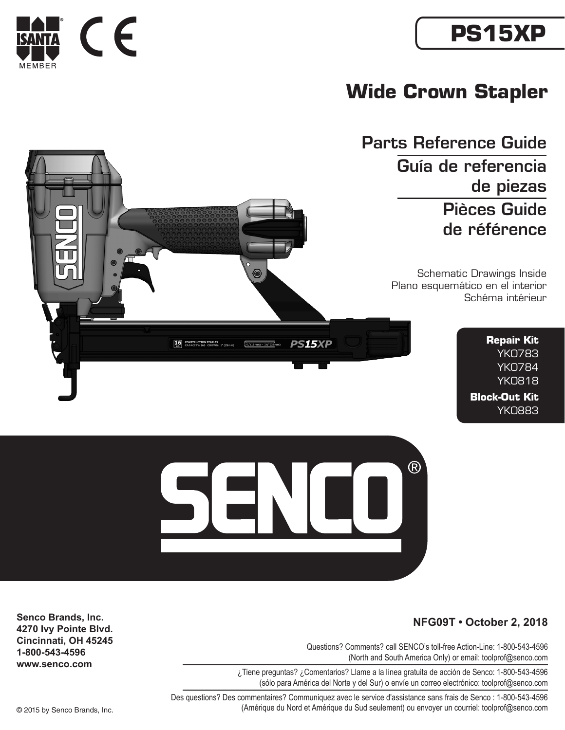# **PS15XP**



## **Wide Crown Stapler**

Parts Reference Guide Guía de referencia de piezas Pièces Guide de référence

> Schematic Drawings Inside Plano esquemático en el interior Schéma intérieur

> > **Repair Kit** YK0783 YK0784 YK0818 **Block-Out Kit** YK0883





#### **NFG09T • October 2, 2018**

Questions? Comments? call SENCO's toll-free Action-Line: 1-800-543-4596 (North and South America Only) or email: toolprof@senco.com

¿Tiene preguntas? ¿Comentarios? Llame a la línea gratuita de acción de Senco: 1-800-543-4596 (sólo para América del Norte y del Sur) o envíe un correo electrónico: toolprof@senco.com

Des questions? Des commentaires? Communiquez avec le service d'assistance sans frais de Senco : 1-800-543-4596 © 2015 by Senco Brands, Inc. (Amérique du Nord et Amérique du Sud seulement) ou envoyer un courriel: toolprof@senco.com

**Senco Brands, Inc. 4270 Ivy Pointe Blvd. Cincinnati, OH 45245 1-800-543-4596 www.senco.com**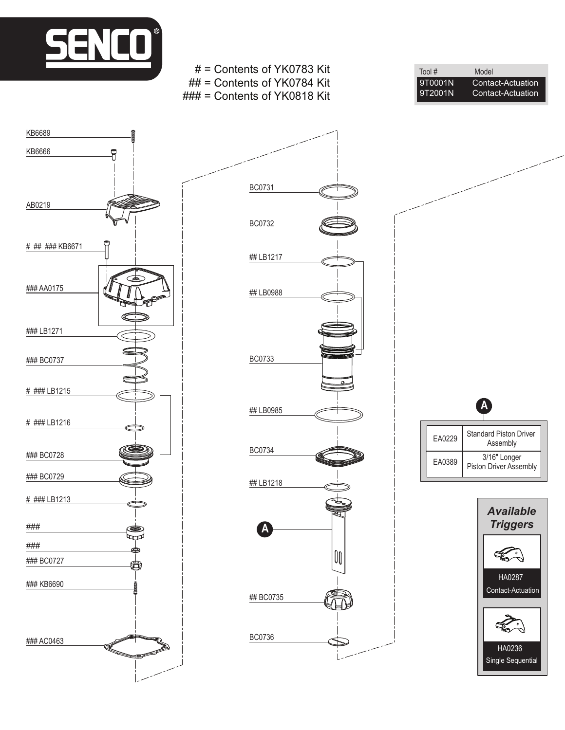

i

### ###

### KB6690

### BC0727

£,

### AC0463

KB6666

KB6689

AB0219

# ## ### KB6671

### AA0175

### BC0737

### LB1271

# ### LB1215

# ### LB1216

### BC0728

### BC0729

# ### LB1213



# = Contents of YK0783 Kit

Tool # Model<br>9T0001N Conta 9T0001N Contact-Actuation<br>9T2001N Contact-Actuation Contact-Actuation **A**

EA0229 Standard Piston Driver Assembly EA0389 3/16" Longer Piston Driver Assembly

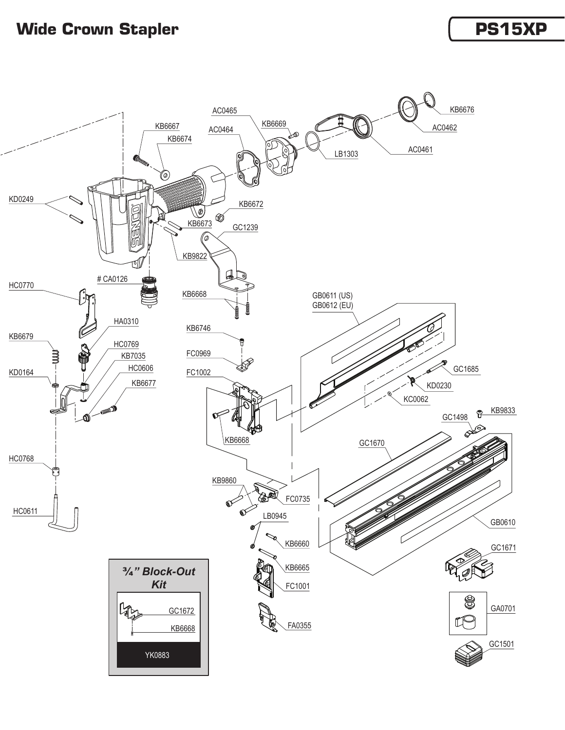### **Wide Crown Stapler** *PS15XP*